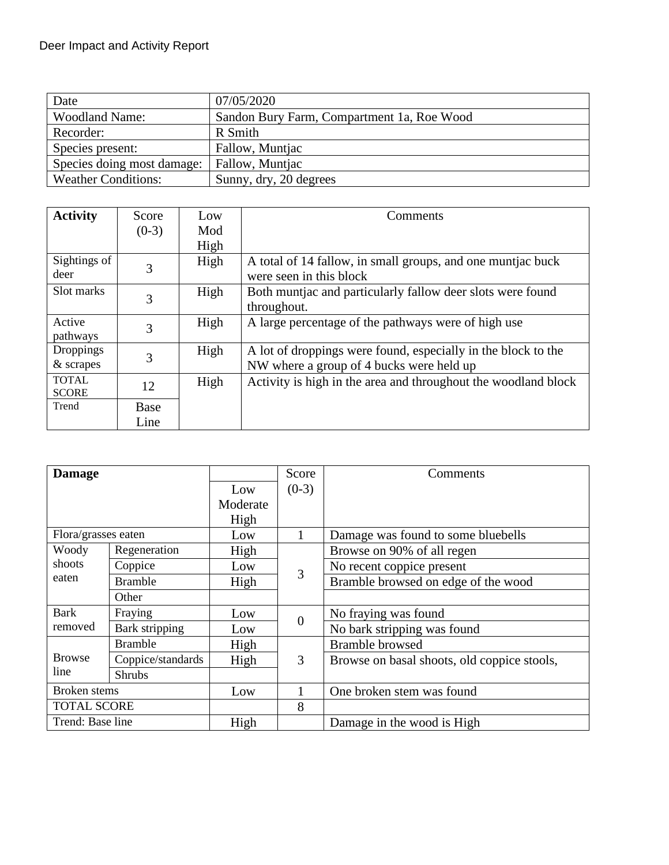| Date                       | 07/05/2020                                 |  |
|----------------------------|--------------------------------------------|--|
| <b>Woodland Name:</b>      | Sandon Bury Farm, Compartment 1a, Roe Wood |  |
| Recorder:                  | R Smith                                    |  |
| Species present:           | Fallow, Muntjac                            |  |
| Species doing most damage: | Fallow, Muntjac                            |  |
| <b>Weather Conditions:</b> | Sunny, dry, 20 degrees                     |  |

| <b>Activity</b> | Score       | Low  | Comments                                                       |
|-----------------|-------------|------|----------------------------------------------------------------|
|                 | $(0-3)$     | Mod  |                                                                |
|                 |             | High |                                                                |
| Sightings of    | 3           | High | A total of 14 fallow, in small groups, and one muntiac buck    |
| deer            |             |      | were seen in this block                                        |
| Slot marks      | 3           | High | Both muntjac and particularly fallow deer slots were found     |
|                 |             |      | throughout.                                                    |
| Active          | 3           | High | A large percentage of the pathways were of high use            |
| pathways        |             |      |                                                                |
| Droppings       | 3           | High | A lot of droppings were found, especially in the block to the  |
| $&$ scrapes     |             |      | NW where a group of 4 bucks were held up                       |
| <b>TOTAL</b>    | 12          | High | Activity is high in the area and throughout the woodland block |
| <b>SCORE</b>    |             |      |                                                                |
| Trend           | <b>Base</b> |      |                                                                |
|                 | Line        |      |                                                                |

| <b>Damage</b>          |                       |          | Score          | Comments                                    |
|------------------------|-----------------------|----------|----------------|---------------------------------------------|
|                        |                       | Low      | $(0-3)$        |                                             |
|                        |                       | Moderate |                |                                             |
|                        |                       | High     |                |                                             |
| Flora/grasses eaten    |                       | Low      |                | Damage was found to some bluebells          |
| Woody                  | Regeneration          | High     |                | Browse on 90% of all regen                  |
| shoots                 | Coppice               | Low      | 3              | No recent coppice present                   |
| eaten                  | <b>Bramble</b>        | High     |                | Bramble browsed on edge of the wood         |
|                        | Other                 |          |                |                                             |
| <b>Bark</b><br>removed | Fraying               | Low      | $\overline{0}$ | No fraying was found                        |
|                        | <b>Bark stripping</b> | Low      |                | No bark stripping was found                 |
| <b>Browse</b><br>line  | <b>Bramble</b>        | High     |                | <b>Bramble</b> browsed                      |
|                        | Coppice/standards     | High     | 3              | Browse on basal shoots, old coppice stools, |
|                        | <b>Shrubs</b>         |          |                |                                             |
| <b>Broken</b> stems    |                       | Low      |                | One broken stem was found                   |
| <b>TOTAL SCORE</b>     |                       |          | 8              |                                             |
| Trend: Base line       |                       | High     |                | Damage in the wood is High                  |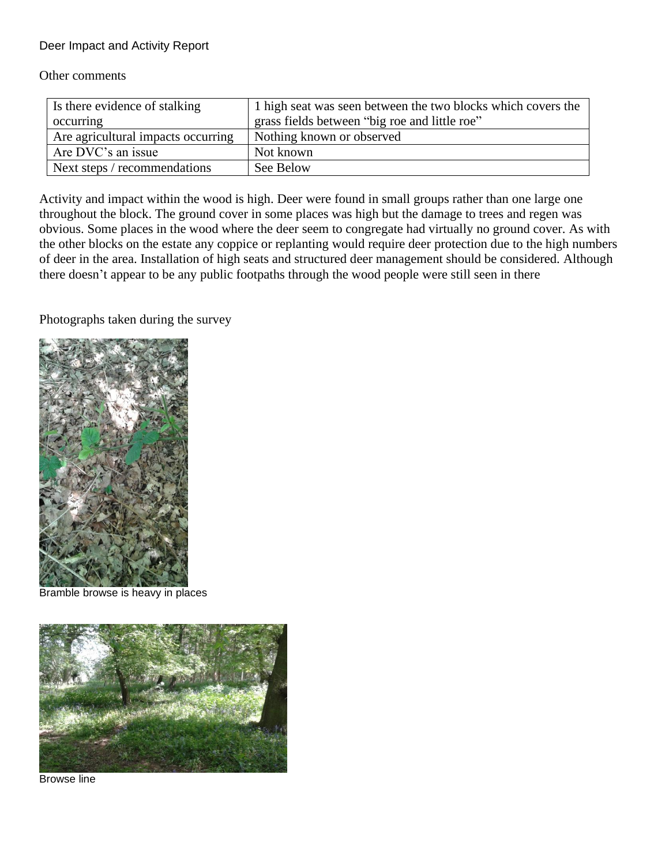Deer Impact and Activity Report

Other comments

| Is there evidence of stalking      | 1 high seat was seen between the two blocks which covers the |
|------------------------------------|--------------------------------------------------------------|
| occurring                          | grass fields between "big roe and little roe"                |
| Are agricultural impacts occurring | Nothing known or observed                                    |
| Are DVC's an issue                 | Not known                                                    |
| Next steps / recommendations       | See Below                                                    |

Activity and impact within the wood is high. Deer were found in small groups rather than one large one throughout the block. The ground cover in some places was high but the damage to trees and regen was obvious. Some places in the wood where the deer seem to congregate had virtually no ground cover. As with the other blocks on the estate any coppice or replanting would require deer protection due to the high numbers of deer in the area. Installation of high seats and structured deer management should be considered. Although there doesn't appear to be any public footpaths through the wood people were still seen in there

Photographs taken during the survey



Bramble browse is heavy in places



Browse line